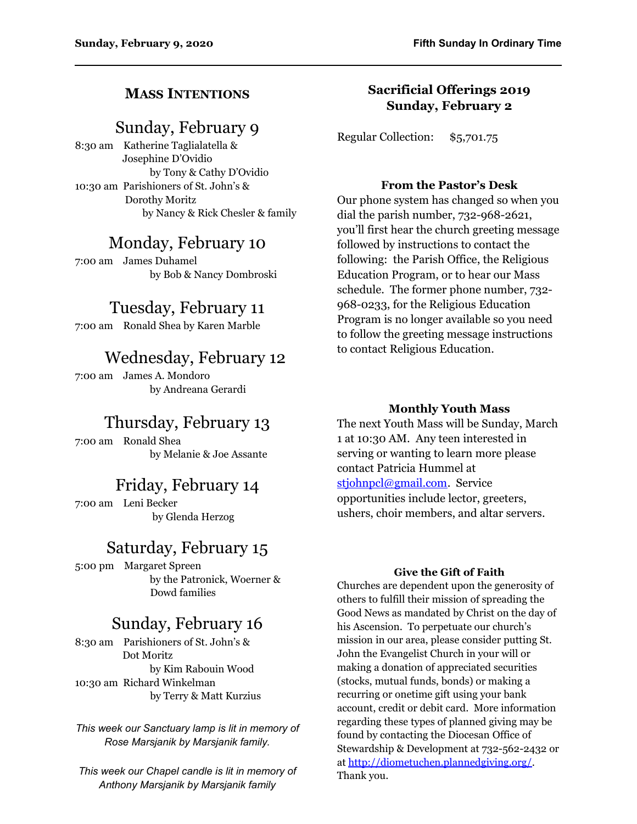### **MASS INTENTIONS**

## Sunday, February 9

8:30 am Katherine Taglialatella & Josephine D'Ovidio by Tony & Cathy D'Ovidio 10:30 am Parishioners of St. John's & Dorothy Moritz by Nancy & Rick Chesler & family

### Monday, February 10

7:00 am James Duhamel by Bob & Nancy Dombroski

## Tuesday, February 11

7:00 am Ronald Shea by Karen Marble

# Wednesday, February 12

7:00 am James A. Mondoro by Andreana Gerardi

# Thursday, February 13

7:00 am Ronald Shea by Melanie & Joe Assante

### Friday, February 14

7:00 am Leni Becker by Glenda Herzog

### Saturday, February 15

5:00 pm Margaret Spreen by the Patronick, Woerner & Dowd families

# Sunday, February 16

8:30 am Parishioners of St. John's & Dot Moritz by Kim Rabouin Wood 10:30 am Richard Winkelman by Terry & Matt Kurzius

*This week our Sanctuary lamp is lit in memory of Rose Marsjanik by Marsjanik family.*

*This week our Chapel candle is lit in memory of Anthony Marsjanik by Marsjanik family*

### **Sacrificial Offerings 2019 Sunday, February 2**

Regular Collection: \$5,701.75

### **From the Pastor's Desk**

Our phone system has changed so when you dial the parish number, 732-968-2621, you'll first hear the church greeting message followed by instructions to contact the following: the Parish Office, the Religious Education Program, or to hear our Mass schedule. The former phone number, 732- 968-0233, for the Religious Education Program is no longer available so you need to follow the greeting message instructions to contact Religious Education.

### **Monthly Youth Mass**

The next Youth Mass will be Sunday, March 1 at 10:30 AM. Any teen interested in serving or wanting to learn more please contact Patricia Hummel at [stjohnpcl@gmail.com](mailto:stjohnpcl@gmail.com). Service opportunities include lector, greeters, ushers, choir members, and altar servers.

#### **Give the Gift of Faith**

Churches are dependent upon the generosity of others to fulfill their mission of spreading the Good News as mandated by Christ on the day of his Ascension. To perpetuate our church's mission in our area, please consider putting St. John the Evangelist Church in your will or making a donation of appreciated securities (stocks, mutual funds, bonds) or making a recurring or onetime gift using your bank account, credit or debit card. More information regarding these types of planned giving may be found by contacting the Diocesan Office of Stewardship & Development at 732-562-2432 or at [http://diometuchen.plannedgiving.org/.](http://diometuchen.plannedgiving.org/) Thank you.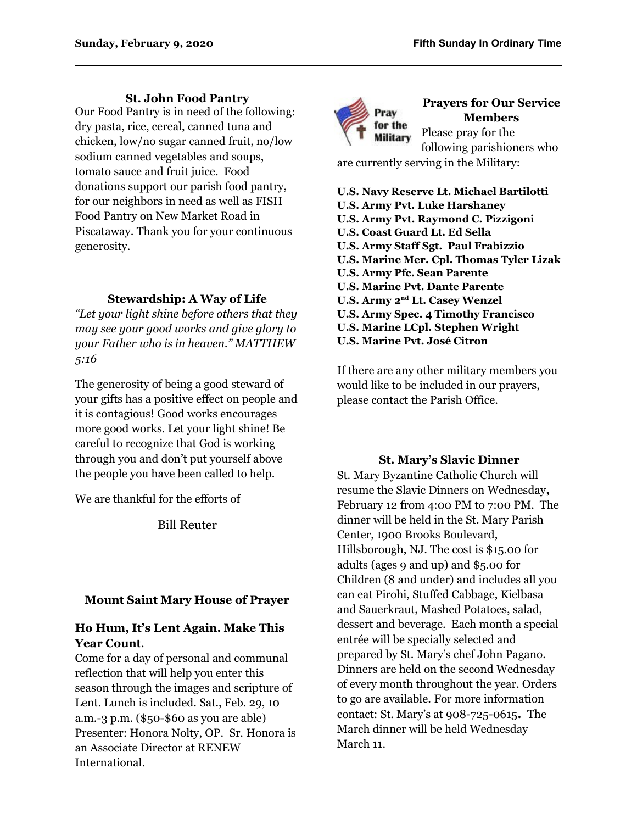#### **St. John Food Pantry**

Our Food Pantry is in need of the following: dry pasta, rice, cereal, canned tuna and chicken, low/no sugar canned fruit, no/low sodium canned vegetables and soups, tomato sauce and fruit juice. Food donations support our parish food pantry, for our neighbors in need as well as FISH Food Pantry on New Market Road in Piscataway. Thank you for your continuous generosity.

#### **Stewardship: A Way of Life**

*"Let your light shine before others that they may see your good works and give glory to your Father who is in heaven." MATTHEW 5:16*

The generosity of being a good steward of your gifts has a positive effect on people and it is contagious! Good works encourages more good works. Let your light shine! Be careful to recognize that God is working through you and don't put yourself above the people you have been called to help.

We are thankful for the efforts of

Bill Reuter

#### **Mount Saint Mary House of Prayer**

#### **Ho Hum, It's Lent Again. Make This Year Count**.

Come for a day of personal and communal reflection that will help you enter this season through the images and scripture of Lent. Lunch is included. Sat., Feb. 29, 10 a.m.-3 p.m. (\$50-\$60 as you are able) Presenter: Honora Nolty, OP. Sr. Honora is an Associate Director at RENEW International.



#### **Prayers for Our Service Members** Please pray for the

following parishioners who are currently serving in the Military:

- **U.S. Navy Reserve Lt. Michael Bartilotti**
- **U.S. Army Pvt. Luke Harshaney**
- **U.S. Army Pvt. Raymond C. Pizzigoni**
- **U.S. Coast Guard Lt. Ed Sella**
- **U.S. Army Staff Sgt. Paul Frabizzio**
- **U.S. Marine Mer. Cpl. Thomas Tyler Lizak**
- **U.S. Army Pfc. Sean Parente**
- **U.S. Marine Pvt. Dante Parente**
- **U.S. Army 2nd Lt. Casey Wenzel**
- **U.S. Army Spec. 4 Timothy Francisco**
- **U.S. Marine LCpl. Stephen Wright**
- **U.S. Marine Pvt. José Citron**

If there are any other military members you would like to be included in our prayers, please contact the Parish Office.

#### **St. Mary's Slavic Dinner**

St. Mary Byzantine Catholic Church will resume the Slavic Dinners on Wednesday**,**  February 12 from 4:00 PM to 7:00 PM. The dinner will be held in the St. Mary Parish Center, 1900 Brooks Boulevard, Hillsborough, NJ. The cost is \$15.00 for adults (ages 9 and up) and \$5.00 for Children (8 and under) and includes all you can eat Pirohi, Stuffed Cabbage, Kielbasa and Sauerkraut, Mashed Potatoes, salad, dessert and beverage. Each month a special entrée will be specially selected and prepared by St. Mary's chef John Pagano. Dinners are held on the second Wednesday of every month throughout the year. Orders to go are available. For more information contact: St. Mary's at 908-725-0615**.** The March dinner will be held Wednesday March 11.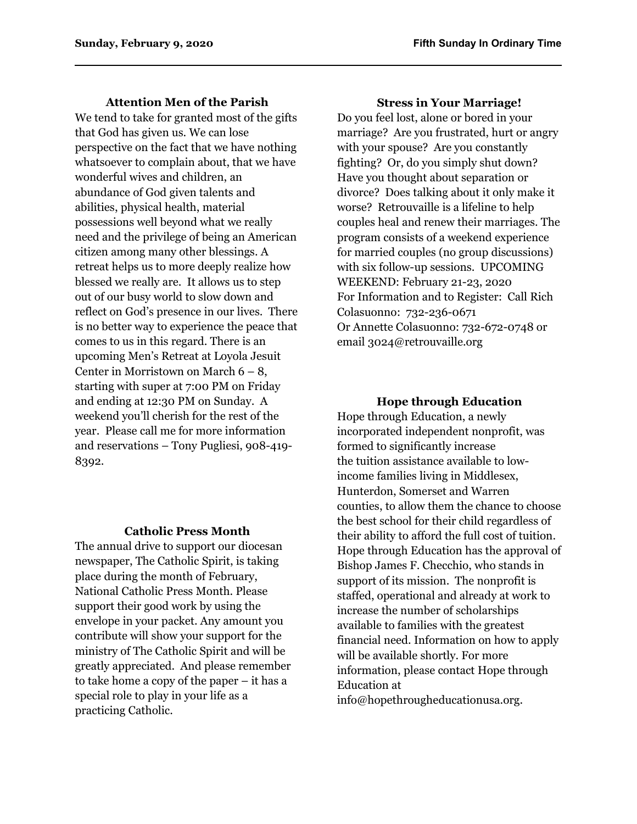#### **Attention Men of the Parish**

We tend to take for granted most of the gifts that God has given us. We can lose perspective on the fact that we have nothing whatsoever to complain about, that we have wonderful wives and children, an abundance of God given talents and abilities, physical health, material possessions well beyond what we really need and the privilege of being an American citizen among many other blessings. A retreat helps us to more deeply realize how blessed we really are. It allows us to step out of our busy world to slow down and reflect on God's presence in our lives. There is no better way to experience the peace that comes to us in this regard. There is an upcoming Men's Retreat at Loyola Jesuit Center in Morristown on March  $6 - 8$ , starting with super at 7:00 PM on Friday and ending at 12:30 PM on Sunday. A weekend you'll cherish for the rest of the year. Please call me for more information and reservations – Tony Pugliesi, 908-419- 8392.

#### **Catholic Press Month**

The annual drive to support our diocesan newspaper, The Catholic Spirit, is taking place during the month of February, National Catholic Press Month. Please support their good work by using the envelope in your packet. Any amount you contribute will show your support for the ministry of The Catholic Spirit and will be greatly appreciated. And please remember to take home a copy of the paper – it has a special role to play in your life as a practicing Catholic.

#### **Stress in Your Marriage!**

Do you feel lost, alone or bored in your marriage? Are you frustrated, hurt or angry with your spouse? Are you constantly fighting? Or, do you simply shut down? Have you thought about separation or divorce? Does talking about it only make it worse? Retrouvaille is a lifeline to help couples heal and renew their marriages. The program consists of a weekend experience for married couples (no group discussions) with six follow-up sessions. UPCOMING WEEKEND: February 21-23, 2020 For Information and to Register: Call Rich Colasuonno: 732-236-0671 Or Annette Colasuonno: 732-672-0748 or email 3024@retrouvaille.org

#### **Hope through Education**

Hope through Education, a newly incorporated independent nonprofit, was formed to significantly increase the tuition assistance available to lowincome families living in Middlesex, Hunterdon, Somerset and Warren counties, to allow them the chance to choose the best school for their child regardless of their ability to afford the full cost of tuition. Hope through Education has the approval of Bishop James F. Checchio, who stands in support of its mission. The nonprofit is staffed, operational and already at work to increase the number of scholarships available to families with the greatest financial need. Information on how to apply will be available shortly. For more information, please contact Hope through Education at info@hopethrougheducationusa.org.